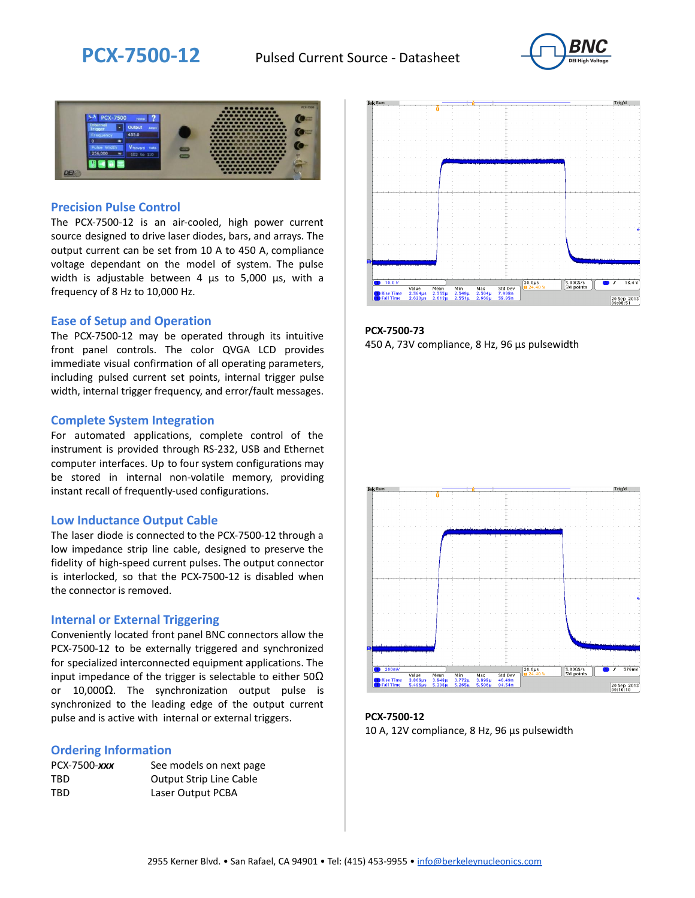



### **Precision Pulse Control**

The PCX-7500-12 is an air-cooled, high power current source designed to drive laser diodes, bars, and arrays. The output current can be set from 10 A to 450 A, compliance voltage dependant on the model of system. The pulse width is adjustable between 4 µs to 5,000 µs, with a frequency of 8 Hz to 10,000 Hz.

#### **Ease of Setup and Operation**

The PCX-7500-12 may be operated through its intuitive front panel controls. The color QVGA LCD provides immediate visual confirmation of all operating parameters, including pulsed current set points, internal trigger pulse width, internal trigger frequency, and error/fault messages.

#### **Complete System Integration**

For automated applications, complete control of the instrument is provided through RS-232, USB and Ethernet computer interfaces. Up to four system configurations may be stored in internal non-volatile memory, providing instant recall of frequently-used configurations.

#### **Low Inductance Output Cable**

The laser diode is connected to the PCX-7500-12 through a low impedance strip line cable, designed to preserve the fidelity of high-speed current pulses. The output connector is interlocked, so that the PCX-7500-12 is disabled when the connector is removed.

#### **Internal or External Triggering**

Conveniently located front panel BNC connectors allow the PCX-7500-12 to be externally triggered and synchronized for specialized interconnected equipment applications. The input impedance of the trigger is selectable to either  $50\Omega$ or 10,000Ω. The synchronization output pulse is synchronized to the leading edge of the output current pulse and is active with internal or external triggers.

#### **Ordering Information**

| PCX-7500-xxx | See models on next page        |
|--------------|--------------------------------|
| TBD          | <b>Output Strip Line Cable</b> |
| TBD          | Laser Output PCBA              |



**PCX-7500-73** 450 A, 73V compliance, 8 Hz, 96 µs pulsewidth



**PCX-7500-12** 10 A, 12V compliance, 8 Hz, 96 μs pulsewidth